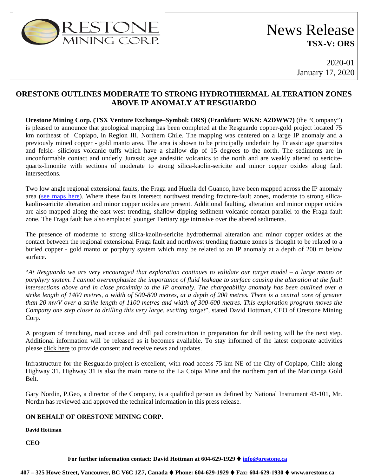

## News Release **TSX-V: ORS**

2020-01 January 17, 2020

## **ORESTONE OUTLINES MODERATE TO STRONG HYDROTHERMAL ALTERATION ZONES ABOVE IP ANOMALY AT RESGUARDO**

**Orestone Mining Corp. (TSX Venture Exchange–Symbol: ORS) (Frankfurt: WKN: A2DWW7)** (the "Company") is pleased to announce that geological mapping has been completed at the Resguardo copper-gold project located 75 km northeast of Copiapo, in Region III, Northern Chile. The mapping was centered on a large IP anomaly and a previously mined copper - gold manto area. The area is shown to be principally underlain by Triassic age quartzites and felsic- silicious volcanic tuffs which have a shallow dip of 15 degrees to the north. The sediments are in unconformable contact and underly Jurassic age andesitic volcanics to the north and are weakly altered to sericitequartz-limonite with sections of moderate to strong silica-kaolin-sericite and minor copper oxides along fault intersections.

Two low angle regional extensional faults, the Fraga and Huella del Guanco, have been mapped across the IP anomaly area [\(see maps here\)](https://www.orestone.ca/projects/chile-resguardo-project/). Where these faults intersect northwest trending fracture-fault zones, moderate to strong silicakaolin-sericite alteration and minor copper oxides are present. Additional faulting, alteration and minor copper oxides are also mapped along the east west trending, shallow dipping sediment-volcanic contact parallel to the Fraga fault zone. The Fraga fault has also emplaced younger Tertiary age intrusive over the altered sediments.

The presence of moderate to strong silica-kaolin-sericite hydrothermal alteration and minor copper oxides at the contact between the regional extensional Fraga fault and northwest trending fracture zones is thought to be related to a buried copper - gold manto or porphyry system which may be related to an IP anomaly at a depth of 200 m below surface.

"*At Resguardo we are very encouraged that exploration continues to validate our target model – a large manto or porphyry system. I cannot overemphasize the importance of fluid leakage to surface causing the alteration at the fault intersections above and in close proximity to the IP anomaly. The chargeability anomaly has been outlined over a strike length of 1400 metres, a width of 500-800 metres, at a depth of 200 metres. There is a central core of greater than 20 mv/V over a strike length of 1100 metres and width of 300-600 metres. This exploration program moves the Company one step closer to drilling this very large, exciting target*", stated David Hottman, CEO of Orestone Mining Corp.

A program of trenching, road access and drill pad construction in preparation for drill testing will be the next step. Additional information will be released as it becomes available. To stay informed of the latest corporate activities please [click here](http://orestone.adnetcms.com/contact/) to provide consent and receive news and updates.

Infrastructure for the Resguardo project is excellent, with road access 75 km NE of the City of Copiapo, Chile along Highway 31. Highway 31 is also the main route to the La Coipa Mine and the northern part of the Maricunga Gold Belt.

Gary Nordin, P.Geo, a director of the Company, is a qualified person as defined by National Instrument 43-101, Mr. Nordin has reviewed and approved the technical information in this press release.

## **ON BEHALF OF ORESTONE MINING CORP.**

**David Hottman**

**CEO**

## **For further information contact: David Hottman at 604-629-1929 [info@orestone.ca](mailto:info@orestone.ca)**